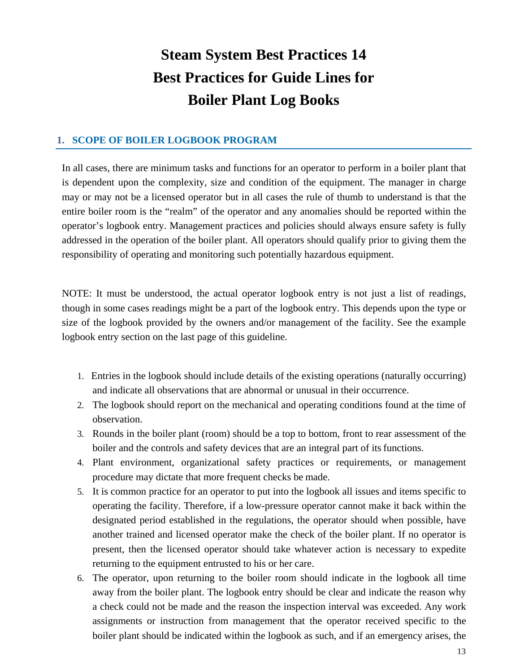# **Steam System Best Practices 14 Best Practices for Guide Lines for Boiler Plant Log Books**

## **1. SCOPE OF BOILER LOGBOOK PROGRAM**

In all cases, there are minimum tasks and functions for an operator to perform in a boiler plant that is dependent upon the complexity, size and condition of the equipment. The manager in charge may or may not be a licensed operator but in all cases the rule of thumb to understand is that the entire boiler room is the "realm" of the operator and any anomalies should be reported within the operator's logbook entry. Management practices and policies should always ensure safety is fully addressed in the operation of the boiler plant. All operators should qualify prior to giving them the responsibility of operating and monitoring such potentially hazardous equipment.

NOTE: It must be understood, the actual operator logbook entry is not just a list of readings, though in some cases readings might be a part of the logbook entry. This depends upon the type or size of the logbook provided by the owners and/or management of the facility. See the example logbook entry section on the last page of this guideline.

- 1. Entries in the logbook should include details of the existing operations (naturally occurring) and indicate all observations that are abnormal or unusual in their occurrence.
- 2. The logbook should report on the mechanical and operating conditions found at the time of observation.
- 3. Rounds in the boiler plant (room) should be a top to bottom, front to rear assessment of the boiler and the controls and safety devices that are an integral part of its functions.
- 4. Plant environment, organizational safety practices or requirements, or management procedure may dictate that more frequent checks be made.
- 5. It is common practice for an operator to put into the logbook all issues and items specific to operating the facility. Therefore, if a low-pressure operator cannot make it back within the designated period established in the regulations, the operator should when possible, have another trained and licensed operator make the check of the boiler plant. If no operator is present, then the licensed operator should take whatever action is necessary to expedite returning to the equipment entrusted to his or her care.
- 6. The operator, upon returning to the boiler room should indicate in the logbook all time away from the boiler plant. The logbook entry should be clear and indicate the reason why a check could not be made and the reason the inspection interval was exceeded. Any work assignments or instruction from management that the operator received specific to the boiler plant should be indicated within the logbook as such, and if an emergency arises, the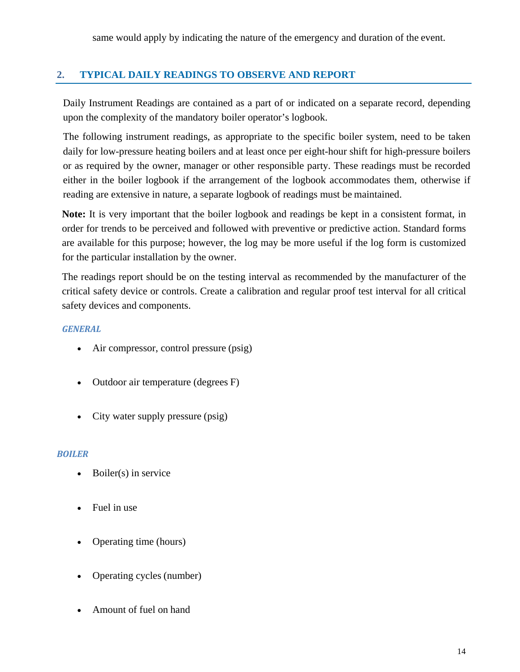same would apply by indicating the nature of the emergency and duration of the event.

## **2. TYPICAL DAILY READINGS TO OBSERVE AND REPORT**

Daily Instrument Readings are contained as a part of or indicated on a separate record, depending upon the complexity of the mandatory boiler operator's logbook.

The following instrument readings, as appropriate to the specific boiler system, need to be taken daily for low-pressure heating boilers and at least once per eight-hour shift for high-pressure boilers or as required by the owner, manager or other responsible party. These readings must be recorded either in the boiler logbook if the arrangement of the logbook accommodates them, otherwise if reading are extensive in nature, a separate logbook of readings must be maintained.

**Note:** It is very important that the boiler logbook and readings be kept in a consistent format, in order for trends to be perceived and followed with preventive or predictive action. Standard forms are available for this purpose; however, the log may be more useful if the log form is customized for the particular installation by the owner.

The readings report should be on the testing interval as recommended by the manufacturer of the critical safety device or controls. Create a calibration and regular proof test interval for all critical safety devices and components.

### *GENERAL*

- Air compressor, control pressure (psig)
- Outdoor air temperature (degrees F)
- City water supply pressure (psig)

#### *BOILER*

- $\bullet$  Boiler(s) in service
- Fuel in use
- Operating time (hours)
- Operating cycles (number)
- Amount of fuel on hand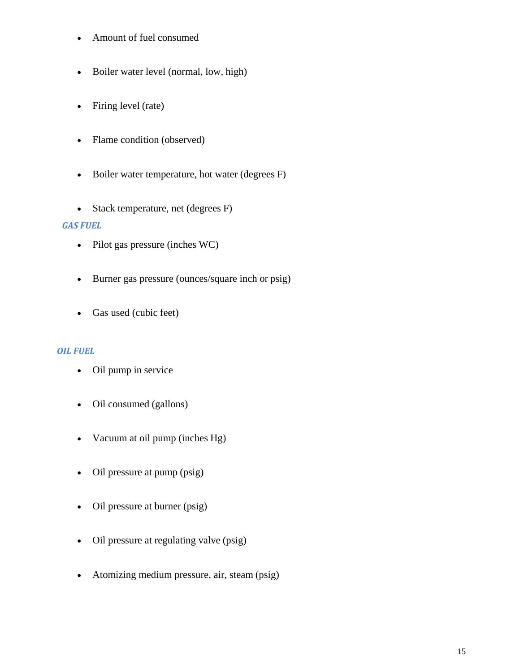- Amount of fuel consumed
- Boiler water level (normal, low, high)
- Firing level (rate)
- Flame condition (observed)
- Boiler water temperature, hot water (degrees F)
- Stack temperature, net (degrees F)

#### *GAS FUEL*

- Pilot gas pressure (inches WC)
- Burner gas pressure (ounces/square inch or psig)
- Gas used (cubic feet)

## *OIL FUEL*

- Oil pump in service
- Oil consumed (gallons)
- Vacuum at oil pump (inches Hg)
- Oil pressure at pump (psig)
- Oil pressure at burner (psig)
- Oil pressure at regulating valve (psig)
- Atomizing medium pressure, air, steam (psig)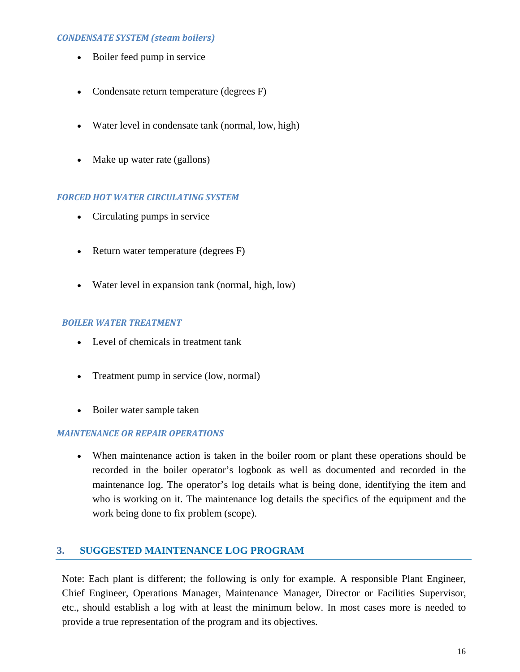#### *CONDENSATE SYSTEM (steam boilers)*

- Boiler feed pump in service
- Condensate return temperature (degrees F)
- Water level in condensate tank (normal, low, high)
- Make up water rate (gallons)

#### *FORCED HOT WATER CIRCULATING SYSTEM*

- Circulating pumps in service
- Return water temperature (degrees F)
- Water level in expansion tank (normal, high, low)

#### *BOILER WATER TREATMENT*

- Level of chemicals in treatment tank
- Treatment pump in service (low, normal)
- Boiler water sample taken

#### *MAINTENANCE OR REPAIR OPERATIONS*

 When maintenance action is taken in the boiler room or plant these operations should be recorded in the boiler operator's logbook as well as documented and recorded in the maintenance log. The operator's log details what is being done, identifying the item and who is working on it. The maintenance log details the specifics of the equipment and the work being done to fix problem (scope).

## **3. SUGGESTED MAINTENANCE LOG PROGRAM**

Note: Each plant is different; the following is only for example. A responsible Plant Engineer, Chief Engineer, Operations Manager, Maintenance Manager, Director or Facilities Supervisor, etc., should establish a log with at least the minimum below. In most cases more is needed to provide a true representation of the program and its objectives.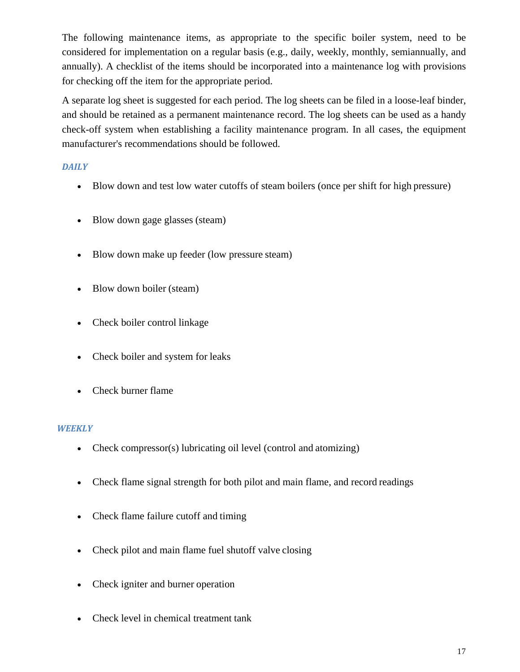The following maintenance items, as appropriate to the specific boiler system, need to be considered for implementation on a regular basis (e.g., daily, weekly, monthly, semiannually, and annually). A checklist of the items should be incorporated into a maintenance log with provisions for checking off the item for the appropriate period.

A separate log sheet is suggested for each period. The log sheets can be filed in a loose-leaf binder, and should be retained as a permanent maintenance record. The log sheets can be used as a handy check-off system when establishing a facility maintenance program. In all cases, the equipment manufacturer's recommendations should be followed.

## *DAILY*

- Blow down and test low water cutoffs of steam boilers (once per shift for high pressure)
- Blow down gage glasses (steam)
- Blow down make up feeder (low pressure steam)
- Blow down boiler (steam)
- Check boiler control linkage
- Check boiler and system for leaks
- Check burner flame

## *WEEKLY*

- Check compressor(s) lubricating oil level (control and atomizing)
- Check flame signal strength for both pilot and main flame, and record readings
- Check flame failure cutoff and timing
- Check pilot and main flame fuel shutoff valve closing
- Check igniter and burner operation
- Check level in chemical treatment tank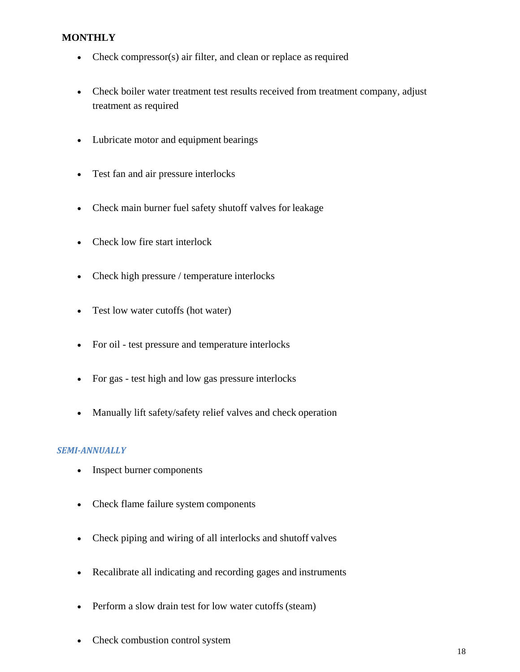## **MONTHLY**

- Check compressor(s) air filter, and clean or replace as required
- Check boiler water treatment test results received from treatment company, adjust treatment as required
- Lubricate motor and equipment bearings
- Test fan and air pressure interlocks
- Check main burner fuel safety shutoff valves for leakage
- Check low fire start interlock
- Check high pressure / temperature interlocks
- Test low water cutoffs (hot water)
- For oil test pressure and temperature interlocks
- For gas test high and low gas pressure interlocks
- Manually lift safety/safety relief valves and check operation

#### *SEMI‐ANNUALLY*

- Inspect burner components
- Check flame failure system components
- Check piping and wiring of all interlocks and shutoff valves
- Recalibrate all indicating and recording gages and instruments
- Perform a slow drain test for low water cutoffs (steam)
- Check combustion control system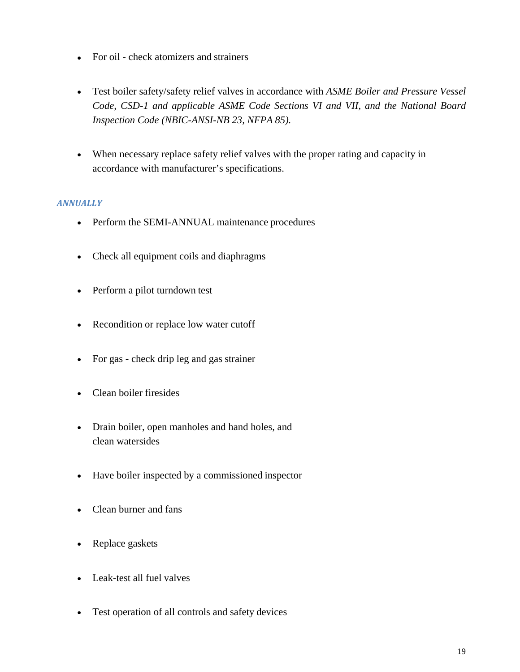- For oil check atomizers and strainers
- Test boiler safety/safety relief valves in accordance with *ASME Boiler and Pressure Vessel Code, CSD-1 and applicable ASME Code Sections VI and VII, and the National Board Inspection Code (NBIC-ANSI-NB 23, NFPA 85).*
- When necessary replace safety relief valves with the proper rating and capacity in accordance with manufacturer's specifications.

## *ANNUALLY*

- Perform the SEMI-ANNUAL maintenance procedures
- Check all equipment coils and diaphragms
- Perform a pilot turndown test
- Recondition or replace low water cutoff
- For gas check drip leg and gas strainer
- Clean boiler firesides
- Drain boiler, open manholes and hand holes, and clean watersides
- Have boiler inspected by a commissioned inspector
- Clean burner and fans
- Replace gaskets
- Leak-test all fuel valves
- Test operation of all controls and safety devices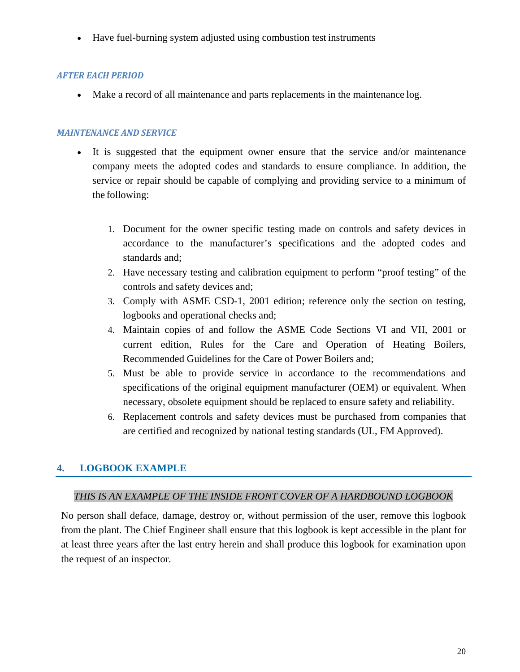Have fuel-burning system adjusted using combustion test instruments

#### *AFTER EACH PERIOD*

Make a record of all maintenance and parts replacements in the maintenance log.

#### *MAINTENANCE AND SERVICE*

- It is suggested that the equipment owner ensure that the service and/or maintenance company meets the adopted codes and standards to ensure compliance. In addition, the service or repair should be capable of complying and providing service to a minimum of the following:
	- 1. Document for the owner specific testing made on controls and safety devices in accordance to the manufacturer's specifications and the adopted codes and standards and;
	- 2. Have necessary testing and calibration equipment to perform "proof testing" of the controls and safety devices and;
	- 3. Comply with ASME CSD-1, 2001 edition; reference only the section on testing, logbooks and operational checks and;
	- 4. Maintain copies of and follow the ASME Code Sections VI and VII, 2001 or current edition, Rules for the Care and Operation of Heating Boilers, Recommended Guidelines for the Care of Power Boilers and;
	- 5. Must be able to provide service in accordance to the recommendations and specifications of the original equipment manufacturer (OEM) or equivalent. When necessary, obsolete equipment should be replaced to ensure safety and reliability.
	- 6. Replacement controls and safety devices must be purchased from companies that are certified and recognized by national testing standards (UL, FM Approved).

## **4. LOGBOOK EXAMPLE**

#### *THIS IS AN EXAMPLE OF THE INSIDE FRONT COVER OF A HARDBOUND LOGBOOK*

No person shall deface, damage, destroy or, without permission of the user, remove this logbook from the plant. The Chief Engineer shall ensure that this logbook is kept accessible in the plant for at least three years after the last entry herein and shall produce this logbook for examination upon the request of an inspector.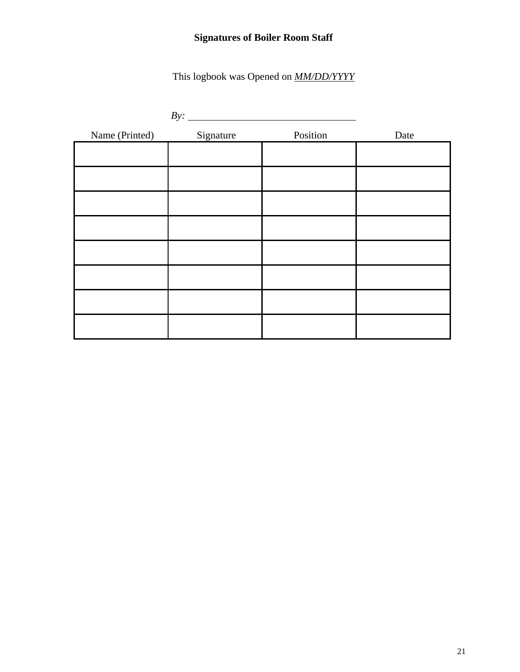# **Signatures of Boiler Room Staff**

This logbook was Opened on *MM/DD/YYYY* 

| By:            |           |          |      |
|----------------|-----------|----------|------|
| Name (Printed) | Signature | Position | Date |
|                |           |          |      |
|                |           |          |      |
|                |           |          |      |
|                |           |          |      |
|                |           |          |      |
|                |           |          |      |
|                |           |          |      |
|                |           |          |      |
|                |           |          |      |
|                |           |          |      |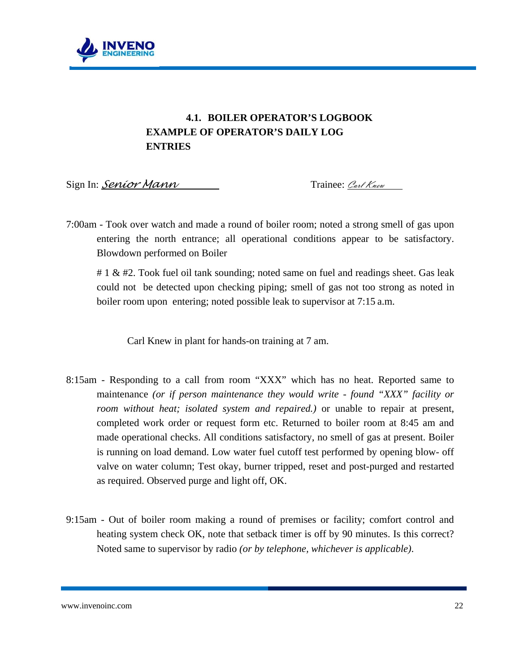

## **4.1. BOILER OPERATOR'S LOGBOOK EXAMPLE OF OPERATOR'S DAILY LOG ENTRIES**

Sign In: *Senior Mann* Trainee: *Carl Knew* 

7:00am - Took over watch and made a round of boiler room; noted a strong smell of gas upon entering the north entrance; all operational conditions appear to be satisfactory. Blowdown performed on Boiler

# 1 & #2. Took fuel oil tank sounding; noted same on fuel and readings sheet. Gas leak could not be detected upon checking piping; smell of gas not too strong as noted in boiler room upon entering; noted possible leak to supervisor at 7:15 a.m.

Carl Knew in plant for hands-on training at 7 am.

- 8:15am Responding to a call from room "XXX" which has no heat. Reported same to maintenance *(or if person maintenance they would write - found "XXX" facility or room without heat; isolated system and repaired.)* or unable to repair at present, completed work order or request form etc. Returned to boiler room at 8:45 am and made operational checks. All conditions satisfactory, no smell of gas at present. Boiler is running on load demand. Low water fuel cutoff test performed by opening blow- off valve on water column; Test okay, burner tripped, reset and post-purged and restarted as required. Observed purge and light off, OK.
- 9:15am Out of boiler room making a round of premises or facility; comfort control and heating system check OK, note that setback timer is off by 90 minutes. Is this correct? Noted same to supervisor by radio *(or by telephone, whichever is applicable)*.

www.invenoinc.com 22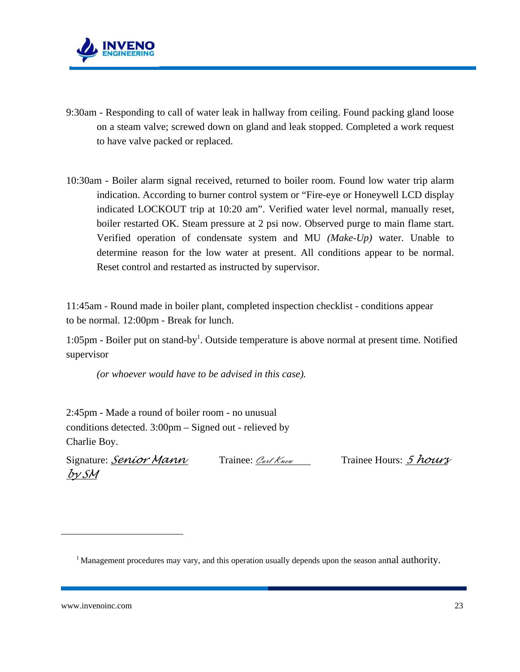

- 9:30am Responding to call of water leak in hallway from ceiling. Found packing gland loose on a steam valve; screwed down on gland and leak stopped. Completed a work request to have valve packed or replaced.
- 10:30am Boiler alarm signal received, returned to boiler room. Found low water trip alarm indication. According to burner control system or "Fire-eye or Honeywell LCD display indicated LOCKOUT trip at 10:20 am". Verified water level normal, manually reset, boiler restarted OK. Steam pressure at 2 psi now. Observed purge to main flame start. Verified operation of condensate system and MU *(Make-Up)* water. Unable to determine reason for the low water at present. All conditions appear to be normal. Reset control and restarted as instructed by supervisor.

11:45am - Round made in boiler plant, completed inspection checklist - conditions appear to be normal. 12:00pm - Break for lunch.

1:05pm - Boiler put on stand-by<sup>1</sup>. Outside temperature is above normal at present time. Notified supervisor

*(or whoever would have to be advised in this case).* 

2:45pm - Made a round of boiler room - no unusual conditions detected. 3:00pm – Signed out - relieved by Charlie Boy.

Signature: *Senior Mann* Trainee: *Carl Knew* Trainee Hours: *5 hours by SM* 

<sup>&</sup>lt;sup>1</sup> Management procedures may vary, and this operation usually depends upon the season annal authority.